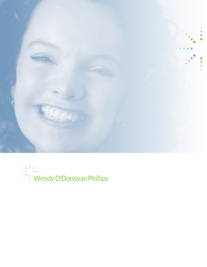

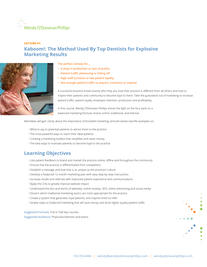

## **Kaboom!: The Method Used By Top Dentists for Explosive Marketing Results LECTURE #1**



**The perfect remedy for…**

- **• A drop in production or lack of profits**
- **• Patient traffic plateauing or falling off**
- **• High staff turnover or low patient loyalty**
- **• Not enough patient traffic to acquire, transition or expand**

A successful practice knows exactly who they are, how their practice is different from all others and how to inspire their patients and community to become loyal to them. Take the guesswork out of marketing to increase patient traffic, patient loyalty, employee retention, production and profitability.

In this course, Wendy O'Donovan Phillips shines the light on the four parts to a balanced marketing formula: brand, online, traditional, and internal.

Attendees will gain clarity about the importance of branded marketing, and will review real-life examples on:

- What to say to potential patients to attract them to the practice
- The most powerful ways to reach their ideal patients
- Creating a marketing toolbox that simplifies and saves money
- The best ways to motivate patients to become loyal to the practice

## **Learning Objectives**

- Use patient feedback to brand and market the practice online, offline and throughout the community
- Ensure that the practice is differentiated from competitors
- Establish a message and look that is as unique as the practice's culture
- Develop a foolproof 12-month marketing plan with easy step-by-step instructions
- •Increase recalls and referrals with improved patient experience and communications
- Apply the 3 As to greatly improve website impact
- Understand the dos and don'ts of websites, online reviews, SEO, online advertising and social media
- Discern which traditional marketing tactics are most appropriate for the practice
- Create a system that generates loyal patients, and inspires them to refer
- Simple steps to foolproof marketing that will save money and drive higher quality patient traffic

**Suggested Formats:** Full or half-day courses **Suggested Audience:** Physicians/dentists and teams

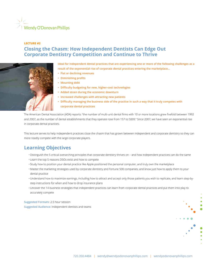

## **Closing the Chasm: How Independent Dentists Can Edge Out Corporate Dentistry Competition and Continue to Thrive LECTURE #2**



- **Ideal for independent dental practices that are experiencing one or more of the following challenges as a result of the exponential rise of corporate dental practices entering the marketplace…**
- **• Flat or declining revenues**
- **• Diminishing profits**
- **• Mounting debt**
- **• Difficulty budgeting for new, higher-cost technologies**
- **• Added strain during the economic downturn**
- **• Increased challenges with attracting new patients**
- **• Difficulty managing the business side of the practice in such a way that it truly competes with corporate dental practices**

The American Dental Association (ADA) reports: "the number of multi-unit dental firms with 10 or more locations grew fivefold between 1992 and 2007, as the number of dental establishments that they operate rose from 157 to 5009." Since 2007, we have seen an exponential rise in corporate dental practices.

This lecture serves to help independent practices close the chasm that has grown between independent and corporate dentistry so they can more readily compete with the large corporate players.

## **Learning Objectives**

- Distinguish the 5 critical overarching principles that corporate dentistry thrives on and how independent practices can do the same
- Learn the top 5 reasons DSOs exist and how to compete
- Study how to position your dental practice like Apple positioned the personal computer, and truly own the marketplace
- Master the marketing strategies used by corporate dentistry and Fortune 500 companies, and know just how to apply them to your dental practice
- Understand how to maximize earnings, including how to attract and accept only those patients you wish to replicate, and learn step-bystep instructions for when and how to drop insurance plans
- Uncover the 14 business strategies that independent practices can learn from corporate dental practices and put them into play to accurately compete

**Suggested Formats:** 2.5 hour session **Suggested Audience:** Independent dentists and teams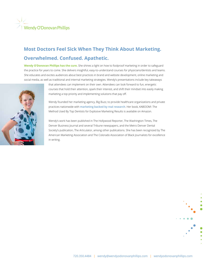

# **Most Doctors Feel Sick When They Think About Marketing. Overwhelmed. Confused. Apathetic.**

**Wendy O'Donovan Phillips has the cure.** She shines a light on how to foolproof marketing in order to safeguard the practice for years to come. She delivers insightful, easy-to-understand courses for physicians/dentists and teams. She educates and excites audiences about best practices in brand and website development, online marketing and social media, as well as traditional and internal marketing strategies. Wendy's presentations include key takeaways



that attendees can implement on their own. Attendees can look forward to fun, energetic courses that hold their attention, spark their interest, and shift their mindset into easily making marketing a top priority and implementing solutions that pay off.

Wendy founded her marketing agency, Big Buzz, to provide healthcare organizations and private practices nationwide with **marketing backed by real research**. Her book, KABOOM!: The Method Used By Top Dentists for Explosive Marketing Results is available on Amazon.

Wendy's work has been published in The Hollywood Reporter, The Washington Times, The Denver Business Journal and several Tribune newspapers, and the Metro Denver Dental Society's publication, The Articulator, among other publications. She has been recognized by The American Marketing Association and The Colorado Association of Black Journalists for excellence in writing.